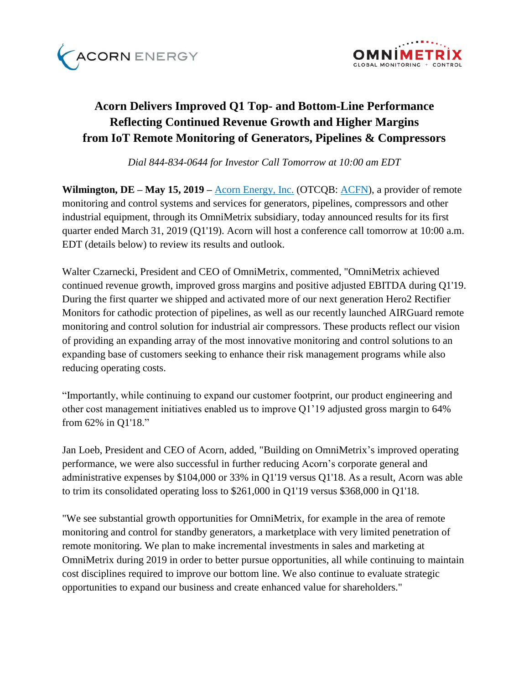



# **Acorn Delivers Improved Q1 Top- and Bottom-Line Performance Reflecting Continued Revenue Growth and Higher Margins from IoT Remote Monitoring of Generators, Pipelines & Compressors**

*Dial 844-834-0644 for Investor Call Tomorrow at 10:00 am EDT*

**Wilmington, DE – May 15, 2019 –** [Acorn Energy, Inc.](http://acornenergy.com/) (OTCQB: [ACFN\)](https://finance.yahoo.com/quote/ACFN/profile?p=ACFN), a provider of remote monitoring and control systems and services for generators, pipelines, compressors and other industrial equipment, through its OmniMetrix subsidiary, today announced results for its first quarter ended March 31, 2019 (Q1'19). Acorn will host a conference call tomorrow at 10:00 a.m. EDT (details below) to review its results and outlook.

Walter Czarnecki, President and CEO of OmniMetrix, commented, "OmniMetrix achieved continued revenue growth, improved gross margins and positive adjusted EBITDA during Q1'19. During the first quarter we shipped and activated more of our next generation Hero2 Rectifier Monitors for cathodic protection of pipelines, as well as our recently launched AIRGuard remote monitoring and control solution for industrial air compressors. These products reflect our vision of providing an expanding array of the most innovative monitoring and control solutions to an expanding base of customers seeking to enhance their risk management programs while also reducing operating costs.

"Importantly, while continuing to expand our customer footprint, our product engineering and other cost management initiatives enabled us to improve Q1'19 adjusted gross margin to 64% from 62% in Q1'18."

Jan Loeb, President and CEO of Acorn, added, "Building on OmniMetrix's improved operating performance, we were also successful in further reducing Acorn's corporate general and administrative expenses by \$104,000 or 33% in Q1'19 versus Q1'18. As a result, Acorn was able to trim its consolidated operating loss to \$261,000 in Q1'19 versus \$368,000 in Q1'18.

"We see substantial growth opportunities for OmniMetrix, for example in the area of remote monitoring and control for standby generators, a marketplace with very limited penetration of remote monitoring. We plan to make incremental investments in sales and marketing at OmniMetrix during 2019 in order to better pursue opportunities, all while continuing to maintain cost disciplines required to improve our bottom line. We also continue to evaluate strategic opportunities to expand our business and create enhanced value for shareholders."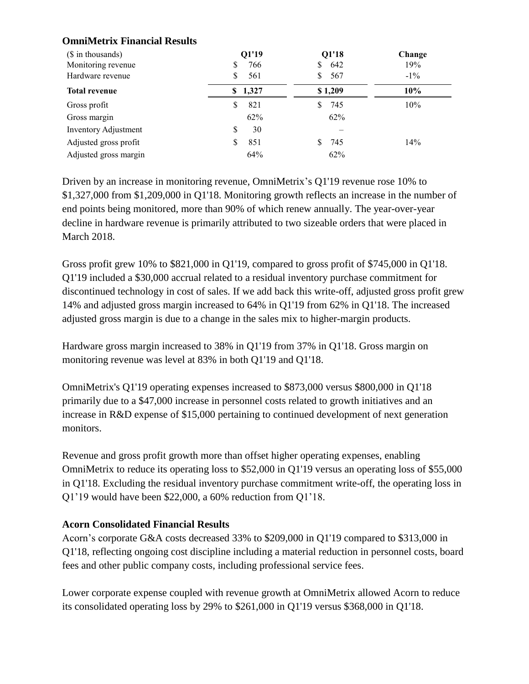# **OmniMetrix Financial Results**

| (\$ in thousands)     | Q1'19       | Q1'18    | Change |
|-----------------------|-------------|----------|--------|
| Monitoring revenue    | 766<br>S    | 642<br>S | 19%    |
| Hardware revenue      | 561<br>S    | 567      | $-1\%$ |
| <b>Total revenue</b>  | 1,327<br>S. | \$1,209  | 10%    |
| Gross profit          | 821<br>\$   | 745      | 10%    |
| Gross margin          | 62%         | 62%      |        |
| Inventory Adjustment  | 30<br>S     |          |        |
| Adjusted gross profit | 851<br>S    | 745      | 14%    |
| Adjusted gross margin | 64%         | 62%      |        |

Driven by an increase in monitoring revenue, OmniMetrix's Q1'19 revenue rose 10% to \$1,327,000 from \$1,209,000 in Q1'18. Monitoring growth reflects an increase in the number of end points being monitored, more than 90% of which renew annually. The year-over-year decline in hardware revenue is primarily attributed to two sizeable orders that were placed in March 2018.

Gross profit grew 10% to \$821,000 in Q1'19, compared to gross profit of \$745,000 in Q1'18. Q1'19 included a \$30,000 accrual related to a residual inventory purchase commitment for discontinued technology in cost of sales. If we add back this write-off, adjusted gross profit grew 14% and adjusted gross margin increased to 64% in Q1'19 from 62% in Q1'18. The increased adjusted gross margin is due to a change in the sales mix to higher-margin products.

Hardware gross margin increased to 38% in Q1'19 from 37% in Q1'18. Gross margin on monitoring revenue was level at 83% in both Q1'19 and Q1'18.

OmniMetrix's Q1'19 operating expenses increased to \$873,000 versus \$800,000 in Q1'18 primarily due to a \$47,000 increase in personnel costs related to growth initiatives and an increase in R&D expense of \$15,000 pertaining to continued development of next generation monitors.

Revenue and gross profit growth more than offset higher operating expenses, enabling OmniMetrix to reduce its operating loss to \$52,000 in Q1'19 versus an operating loss of \$55,000 in Q1'18. Excluding the residual inventory purchase commitment write-off, the operating loss in Q1'19 would have been \$22,000, a 60% reduction from Q1'18.

#### **Acorn Consolidated Financial Results**

Acorn's corporate G&A costs decreased 33% to \$209,000 in Q1'19 compared to \$313,000 in Q1'18, reflecting ongoing cost discipline including a material reduction in personnel costs, board fees and other public company costs, including professional service fees.

Lower corporate expense coupled with revenue growth at OmniMetrix allowed Acorn to reduce its consolidated operating loss by 29% to \$261,000 in Q1'19 versus \$368,000 in Q1'18.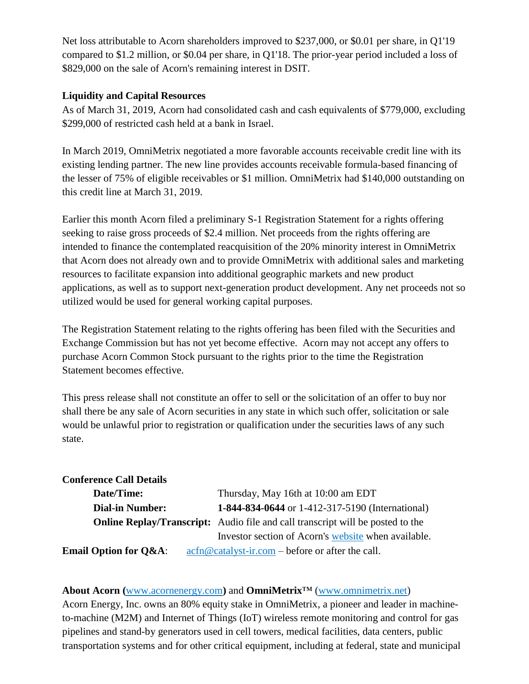Net loss attributable to Acorn shareholders improved to \$237,000, or \$0.01 per share, in Q1'19 compared to \$1.2 million, or \$0.04 per share, in Q1'18. The prior-year period included a loss of \$829,000 on the sale of Acorn's remaining interest in DSIT.

# **Liquidity and Capital Resources**

As of March 31, 2019, Acorn had consolidated cash and cash equivalents of \$779,000, excluding \$299,000 of restricted cash held at a bank in Israel.

In March 2019, OmniMetrix negotiated a more favorable accounts receivable credit line with its existing lending partner. The new line provides accounts receivable formula-based financing of the lesser of 75% of eligible receivables or \$1 million. OmniMetrix had \$140,000 outstanding on this credit line at March 31, 2019.

Earlier this month Acorn filed a preliminary S-1 Registration Statement for a rights offering seeking to raise gross proceeds of \$2.4 million. Net proceeds from the rights offering are intended to finance the contemplated reacquisition of the 20% minority interest in OmniMetrix that Acorn does not already own and to provide OmniMetrix with additional sales and marketing resources to facilitate expansion into additional geographic markets and new product applications, as well as to support next-generation product development. Any net proceeds not so utilized would be used for general working capital purposes.

The Registration Statement relating to the rights offering has been filed with the Securities and Exchange Commission but has not yet become effective. Acorn may not accept any offers to purchase Acorn Common Stock pursuant to the rights prior to the time the Registration Statement becomes effective.

This press release shall not constitute an offer to sell or the solicitation of an offer to buy nor shall there be any sale of Acorn securities in any state in which such offer, solicitation or sale would be unlawful prior to registration or qualification under the securities laws of any such state.

| <b>Conference Call Details</b>   |                                                                                                                               |  |  |
|----------------------------------|-------------------------------------------------------------------------------------------------------------------------------|--|--|
| Date/Time:                       | Thursday, May 16th at 10:00 am EDT                                                                                            |  |  |
| <b>Dial-in Number:</b>           | 1-844-834-0644 or 1-412-317-5190 (International)                                                                              |  |  |
|                                  | <b>Online Replay/Transcript:</b> Audio file and call transcript will be posted to the                                         |  |  |
|                                  | Investor section of Acorn's website when available.                                                                           |  |  |
| <b>Email Option for Q&amp;A:</b> | $\operatorname{acfn}\nolimits @ \operatorname{catalyst-ir}.\nolimits com - \operatorname{before}\nolimits$ or after the call. |  |  |

# **About Acorn (**[www.acornenergy.com](http://www.acornenergy.com/)**)** and **OmniMetrix**™ [\(www.omnimetrix.net\)](http://www.omnimetrix.net/)

Acorn Energy, Inc. owns an 80% equity stake in OmniMetrix, a pioneer and leader in machineto-machine (M2M) and Internet of Things (IoT) wireless remote monitoring and control for gas pipelines and stand-by generators used in cell towers, medical facilities, data centers, public transportation systems and for other critical equipment, including at federal, state and municipal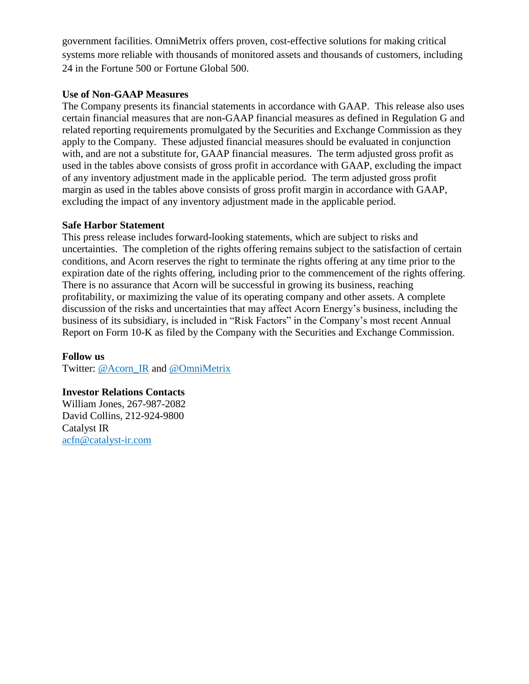government facilities. OmniMetrix offers proven, cost-effective solutions for making critical systems more reliable with thousands of monitored assets and thousands of customers, including 24 in the Fortune 500 or Fortune Global 500.

### **Use of Non-GAAP Measures**

The Company presents its financial statements in accordance with GAAP. This release also uses certain financial measures that are non-GAAP financial measures as defined in Regulation G and related reporting requirements promulgated by the Securities and Exchange Commission as they apply to the Company. These adjusted financial measures should be evaluated in conjunction with, and are not a substitute for, GAAP financial measures. The term adjusted gross profit as used in the tables above consists of gross profit in accordance with GAAP, excluding the impact of any inventory adjustment made in the applicable period. The term adjusted gross profit margin as used in the tables above consists of gross profit margin in accordance with GAAP, excluding the impact of any inventory adjustment made in the applicable period.

## **Safe Harbor Statement**

This press release includes forward-looking statements, which are subject to risks and uncertainties. The completion of the rights offering remains subject to the satisfaction of certain conditions, and Acorn reserves the right to terminate the rights offering at any time prior to the expiration date of the rights offering, including prior to the commencement of the rights offering. There is no assurance that Acorn will be successful in growing its business, reaching profitability, or maximizing the value of its operating company and other assets. A complete discussion of the risks and uncertainties that may affect Acorn Energy's business, including the business of its subsidiary, is included in "Risk Factors" in the Company's most recent Annual Report on Form 10-K as filed by the Company with the Securities and Exchange Commission.

# **Follow us**

Twitter: [@Acorn\\_IR](https://twitter.com/ACORN_IR) and [@OmniMetrix](https://twitter.com/OmniMetrix)

#### **Investor Relations Contacts**

William Jones, 267-987-2082 David Collins, 212-924-9800 Catalyst IR [acfn@catalyst-ir.com](http://acfn@catalyst-ir.com)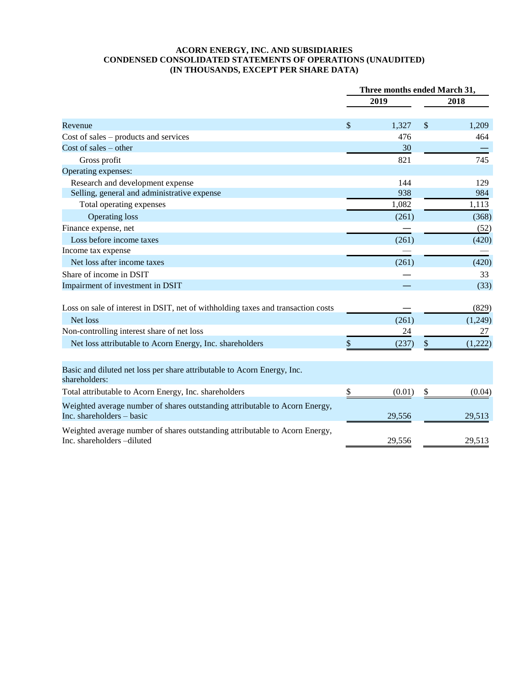#### **ACORN ENERGY, INC. AND SUBSIDIARIES CONDENSED CONSOLIDATED STATEMENTS OF OPERATIONS (UNAUDITED) (IN THOUSANDS, EXCEPT PER SHARE DATA)**

|                                                                                                           |               | Three months ended March 31, |               |         |
|-----------------------------------------------------------------------------------------------------------|---------------|------------------------------|---------------|---------|
|                                                                                                           |               | 2019                         |               | 2018    |
| Revenue                                                                                                   | $\mathcal{S}$ | 1,327                        | \$            | 1,209   |
| $Cost of sales - products and services$                                                                   |               | 476                          |               | 464     |
| Cost of sales $-$ other                                                                                   |               | 30                           |               |         |
| Gross profit                                                                                              |               | 821                          |               | 745     |
| Operating expenses:                                                                                       |               |                              |               |         |
| Research and development expense                                                                          |               | 144                          |               | 129     |
| Selling, general and administrative expense                                                               |               | 938                          |               | 984     |
| Total operating expenses                                                                                  |               | 1,082                        |               | 1,113   |
| <b>Operating loss</b>                                                                                     |               | (261)                        |               | (368)   |
| Finance expense, net                                                                                      |               |                              |               | (52)    |
| Loss before income taxes                                                                                  |               | (261)                        |               | (420)   |
| Income tax expense                                                                                        |               |                              |               |         |
| Net loss after income taxes                                                                               |               | (261)                        |               | (420)   |
| Share of income in DSIT                                                                                   |               |                              |               | 33      |
| Impairment of investment in DSIT                                                                          |               |                              |               | (33)    |
| Loss on sale of interest in DSIT, net of withholding taxes and transaction costs                          |               |                              |               | (829)   |
| Net loss                                                                                                  |               | (261)                        |               | (1,249) |
| Non-controlling interest share of net loss                                                                |               | 24                           |               | 27      |
| Net loss attributable to Acorn Energy, Inc. shareholders                                                  | \$            | (237)                        | $\mathcal{S}$ | (1,222) |
| Basic and diluted net loss per share attributable to Acorn Energy, Inc.<br>shareholders:                  |               |                              |               |         |
| Total attributable to Acorn Energy, Inc. shareholders                                                     | \$            | (0.01)                       | \$            | (0.04)  |
| Weighted average number of shares outstanding attributable to Acorn Energy,<br>Inc. shareholders - basic  |               | 29,556                       |               | 29,513  |
| Weighted average number of shares outstanding attributable to Acorn Energy,<br>Inc. shareholders -diluted |               | 29,556                       |               | 29,513  |